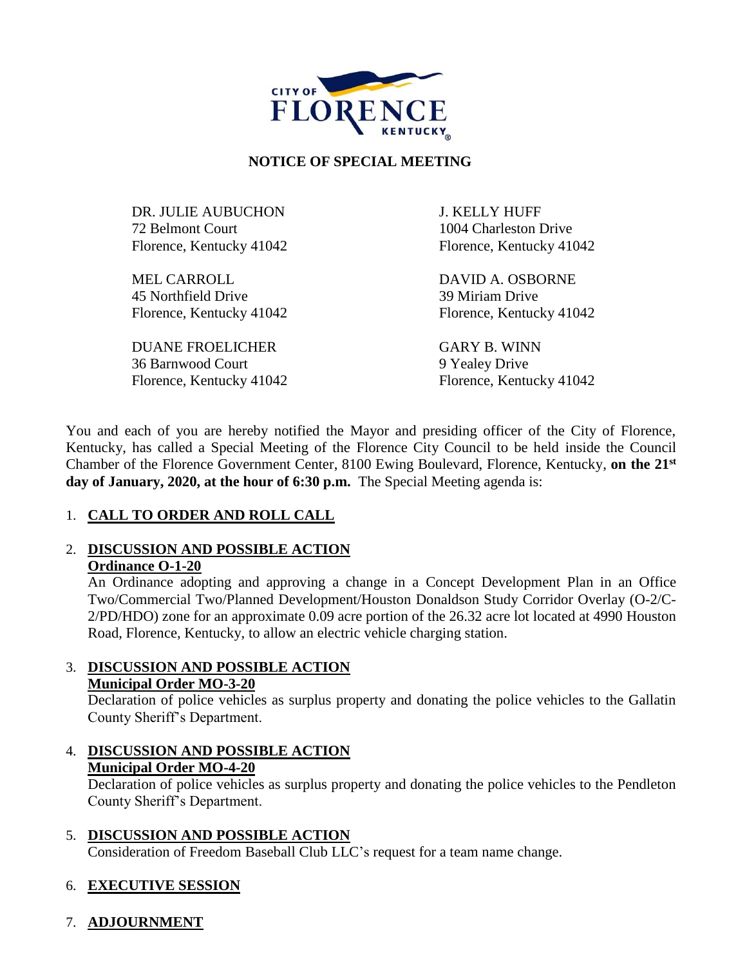

# **NOTICE OF SPECIAL MEETING**

DR. JULIE AUBUCHON J. KELLY HUFF 72 Belmont Court 1004 Charleston Drive Florence, Kentucky 41042 Florence, Kentucky 41042

MEL CARROLL DAVID A. OSBORNE 45 Northfield Drive 39 Miriam Drive Florence, Kentucky 41042 Florence, Kentucky 41042

DUANE FROELICHER GARY B. WINN 36 Barnwood Court 9 Yealey Drive

Florence, Kentucky 41042 Florence, Kentucky 41042

You and each of you are hereby notified the Mayor and presiding officer of the City of Florence, Kentucky, has called a Special Meeting of the Florence City Council to be held inside the Council Chamber of the Florence Government Center, 8100 Ewing Boulevard, Florence, Kentucky, **on the 21st day of January, 2020, at the hour of 6:30 p.m.** The Special Meeting agenda is:

# 1. **CALL TO ORDER AND ROLL CALL**

### 2. **DISCUSSION AND POSSIBLE ACTION Ordinance O-1-20**

An Ordinance adopting and approving a change in a Concept Development Plan in an Office Two/Commercial Two/Planned Development/Houston Donaldson Study Corridor Overlay (O-2/C-2/PD/HDO) zone for an approximate 0.09 acre portion of the 26.32 acre lot located at 4990 Houston Road, Florence, Kentucky, to allow an electric vehicle charging station.

## 3. **DISCUSSION AND POSSIBLE ACTION Municipal Order MO-3-20**

Declaration of police vehicles as surplus property and donating the police vehicles to the Gallatin County Sheriff's Department.

4. **DISCUSSION AND POSSIBLE ACTION Municipal Order MO-4-20**

Declaration of police vehicles as surplus property and donating the police vehicles to the Pendleton County Sheriff's Department.

5. **DISCUSSION AND POSSIBLE ACTION**

Consideration of Freedom Baseball Club LLC's request for a team name change.

# 6. **EXECUTIVE SESSION**

# 7. **ADJOURNMENT**